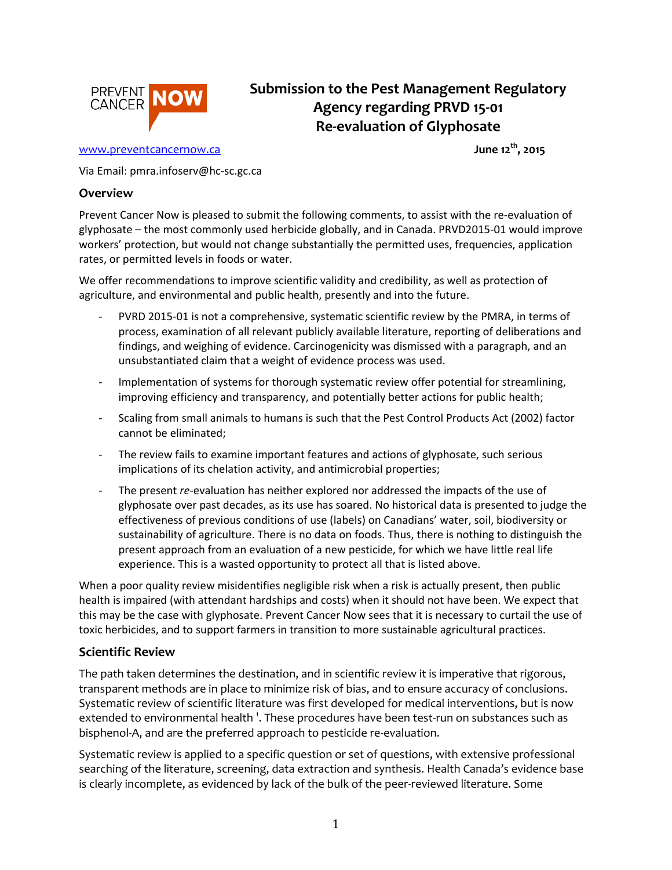

# **Submission to the Pest Management Regulatory Agency regarding PRVD 15-01 Re-evaluation of Glyphosate**

#### [www.preventcancernow.ca](http://www.preventcancernow.ca/)

**th, 2015**

Via Email: pmra.infoserv@hc-sc.gc.ca

#### **Overview**

Prevent Cancer Now is pleased to submit the following comments, to assist with the re-evaluation of glyphosate – the most commonly used herbicide globally, and in Canada. PRVD2015-01 would improve workers' protection, but would not change substantially the permitted uses, frequencies, application rates, or permitted levels in foods or water.

We offer recommendations to improve scientific validity and credibility, as well as protection of agriculture, and environmental and public health, presently and into the future.

- PVRD 2015-01 is not a comprehensive, systematic scientific review by the PMRA, in terms of process, examination of all relevant publicly available literature, reporting of deliberations and findings, and weighing of evidence. Carcinogenicity was dismissed with a paragraph, and an unsubstantiated claim that a weight of evidence process was used.
- Implementation of systems for thorough systematic review offer potential for streamlining, improving efficiency and transparency, and potentially better actions for public health;
- Scaling from small animals to humans is such that the Pest Control Products Act (2002) factor cannot be eliminated;
- The review fails to examine important features and actions of glyphosate, such serious implications of its chelation activity, and antimicrobial properties;
- The present *re*-evaluation has neither explored nor addressed the impacts of the use of glyphosate over past decades, as its use has soared. No historical data is presented to judge the effectiveness of previous conditions of use (labels) on Canadians' water, soil, biodiversity or sustainability of agriculture. There is no data on foods. Thus, there is nothing to distinguish the present approach from an evaluation of a new pesticide, for which we have little real life experience. This is a wasted opportunity to protect all that is listed above.

When a poor quality review misidentifies negligible risk when a risk is actually present, then public health is impaired (with attendant hardships and costs) when it should not have been. We expect that this may be the case with glyphosate. Prevent Cancer Now sees that it is necessary to curtail the use of toxic herbicides, and to support farmers in transition to more sustainable agricultural practices.

#### **Scientific Review**

The path taken determines the destination, and in scientific review it is imperative that rigorous, transparent methods are in place to minimize risk of bias, and to ensure accuracy of conclusions. Systematic review of scientific literature was first developed for medical interventions, but is now extended to environmental health  $^1$ . These procedures have been test-run on substances such as bisphenol-A, and are the preferred approach to pesticide re-evaluation.

Systematic review is applied to a specific question or set of questions, with extensive professional searching of the literature, screening, data extraction and synthesis. Health Canada's evidence base is clearly incomplete, as evidenced by lack of the bulk of the peer-reviewed literature. Some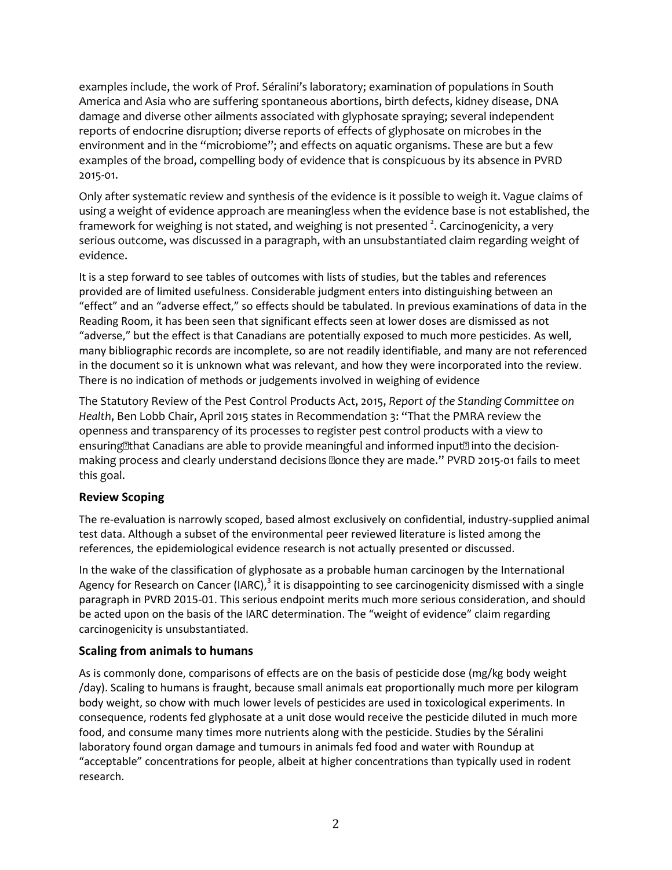examples include, the work of Prof. Séralini's laboratory; examination of populations in South America and Asia who are suffering spontaneous abortions, birth defects, kidney disease, DNA damage and diverse other ailments associated with glyphosate spraying; several independent reports of endocrine disruption; diverse reports of effects of glyphosate on microbes in the environment and in the "microbiome"; and effects on aquatic organisms. These are but a few examples of the broad, compelling body of evidence that is conspicuous by its absence in PVRD 2015-01.

Only after systematic review and synthesis of the evidence is it possible to weigh it. Vague claims of using a weight of evidence approach are meaningless when the evidence base is not established, the framework for weighing is not stated, and weighing is not presented  $^2$ . Carcinogenicity, a very serious outcome, was discussed in a paragraph, with an unsubstantiated claim regarding weight of evidence.

It is a step forward to see tables of outcomes with lists of studies, but the tables and references provided are of limited usefulness. Considerable judgment enters into distinguishing between an "effect" and an "adverse effect," so effects should be tabulated. In previous examinations of data in the Reading Room, it has been seen that significant effects seen at lower doses are dismissed as not "adverse," but the effect is that Canadians are potentially exposed to much more pesticides. As well, many bibliographic records are incomplete, so are not readily identifiable, and many are not referenced in the document so it is unknown what was relevant, and how they were incorporated into the review. There is no indication of methods or judgements involved in weighing of evidence

The Statutory Review of the Pest Control Products Act, 2015, *Report of the Standing Committee on Health*, Ben Lobb Chair, April 2015 states in Recommendation 3: "That the PMRA review the openness and transparency of its processes to register pest control products with a view to ensuring that Canadians are able to provide meaning ful and informed input **n** into the decisionmaking process and clearly understand decisions **@once they are made.**" PVRD 2015-01 fails to meet this goal.

# **Review Scoping**

The re-evaluation is narrowly scoped, based almost exclusively on confidential, industry-supplied animal test data. Although a subset of the environmental peer reviewed literature is listed among the references, the epidemiological evidence research is not actually presented or discussed.

In the wake of the classification of glyphosate as a probable human carcinogen by the International Agency for Research on Cancer (IARC), $^3$  it is disappointing to see carcinogenicity dismissed with a single paragraph in PVRD 2015-01. This serious endpoint merits much more serious consideration, and should be acted upon on the basis of the IARC determination. The "weight of evidence" claim regarding carcinogenicity is unsubstantiated.

#### **Scaling from animals to humans**

As is commonly done, comparisons of effects are on the basis of pesticide dose (mg/kg body weight /day). Scaling to humans is fraught, because small animals eat proportionally much more per kilogram body weight, so chow with much lower levels of pesticides are used in toxicological experiments. In consequence, rodents fed glyphosate at a unit dose would receive the pesticide diluted in much more food, and consume many times more nutrients along with the pesticide. Studies by the Séralini laboratory found organ damage and tumours in animals fed food and water with Roundup at "acceptable" concentrations for people, albeit at higher concentrations than typically used in rodent research.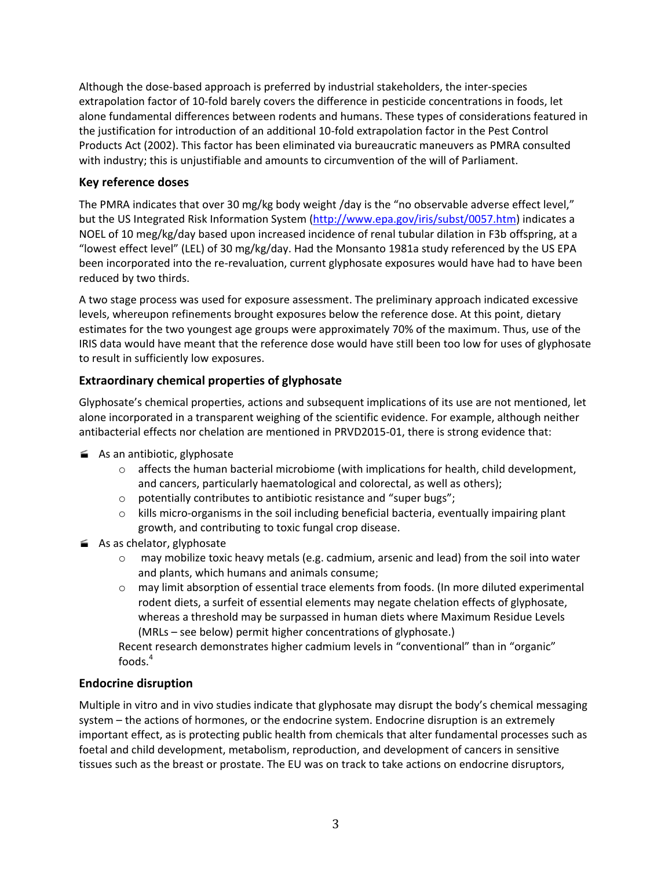Although the dose-based approach is preferred by industrial stakeholders, the inter-species extrapolation factor of 10-fold barely covers the difference in pesticide concentrations in foods, let alone fundamental differences between rodents and humans. These types of considerations featured in the justification for introduction of an additional 10-fold extrapolation factor in the Pest Control Products Act (2002). This factor has been eliminated via bureaucratic maneuvers as PMRA consulted with industry; this is unjustifiable and amounts to circumvention of the will of Parliament.

### **Key reference doses**

The PMRA indicates that over 30 mg/kg body weight /day is the "no observable adverse effect level," but the US Integrated Risk Information System [\(http://www.epa.gov/iris/subst/0057.htm\)](http://www.epa.gov/iris/subst/0057.htm) indicates a NOEL of 10 meg/kg/day based upon increased incidence of renal tubular dilation in F3b offspring, at a "lowest effect level" (LEL) of 30 mg/kg/day. Had the Monsanto 1981a study referenced by the US EPA been incorporated into the re-revaluation, current glyphosate exposures would have had to have been reduced by two thirds.

A two stage process was used for exposure assessment. The preliminary approach indicated excessive levels, whereupon refinements brought exposures below the reference dose. At this point, dietary estimates for the two youngest age groups were approximately 70% of the maximum. Thus, use of the IRIS data would have meant that the reference dose would have still been too low for uses of glyphosate to result in sufficiently low exposures.

# **Extraordinary chemical properties of glyphosate**

Glyphosate's chemical properties, actions and subsequent implications of its use are not mentioned, let alone incorporated in a transparent weighing of the scientific evidence. For example, although neither antibacterial effects nor chelation are mentioned in PRVD2015-01, there is strong evidence that:

- As an antibiotic, glyphosate
	- $\circ$  affects the human bacterial microbiome (with implications for health, child development, and cancers, particularly haematological and colorectal, as well as others);
	- o potentially contributes to antibiotic resistance and "super bugs";
	- $\circ$  kills micro-organisms in the soil including beneficial bacteria, eventually impairing plant growth, and contributing to toxic fungal crop disease.
- As as chelator, glyphosate
	- $\circ$  may mobilize toxic heavy metals (e.g. cadmium, arsenic and lead) from the soil into water and plants, which humans and animals consume;
	- $\circ$  may limit absorption of essential trace elements from foods. (In more diluted experimental rodent diets, a surfeit of essential elements may negate chelation effects of glyphosate, whereas a threshold may be surpassed in human diets where Maximum Residue Levels (MRLs – see below) permit higher concentrations of glyphosate.)

Recent research demonstrates higher cadmium levels in "conventional" than in "organic" foods $4$ 

#### **Endocrine disruption**

Multiple in vitro and in vivo studies indicate that glyphosate may disrupt the body's chemical messaging system – the actions of hormones, or the endocrine system. Endocrine disruption is an extremely important effect, as is protecting public health from chemicals that alter fundamental processes such as foetal and child development, metabolism, reproduction, and development of cancers in sensitive tissues such as the breast or prostate. The EU was on track to take actions on endocrine disruptors,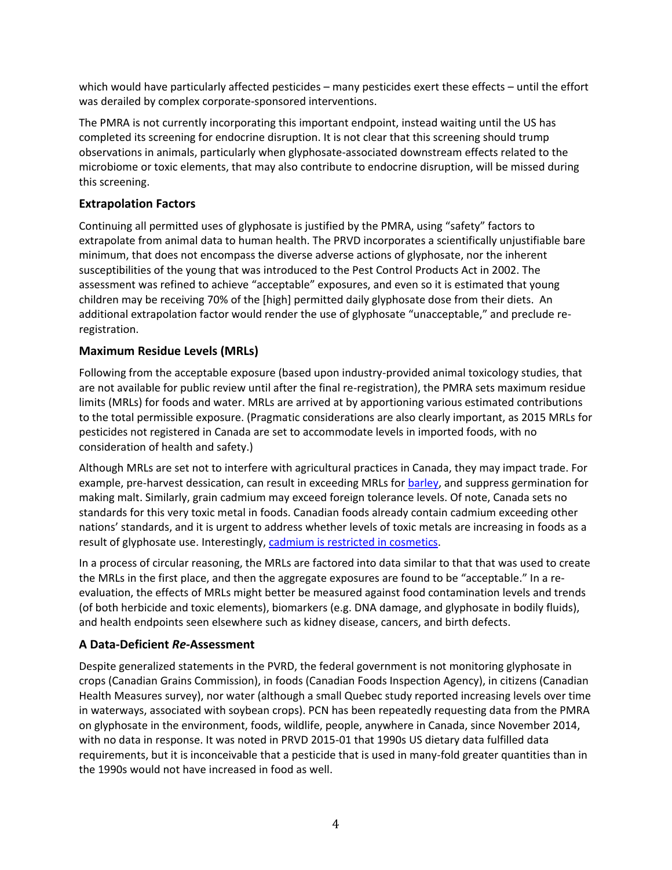which would have particularly affected pesticides – many pesticides exert these effects – until the effort was derailed by complex corporate-sponsored interventions.

The PMRA is not currently incorporating this important endpoint, instead waiting until the US has completed its screening for endocrine disruption. It is not clear that this screening should trump observations in animals, particularly when glyphosate-associated downstream effects related to the microbiome or toxic elements, that may also contribute to endocrine disruption, will be missed during this screening.

#### **Extrapolation Factors**

Continuing all permitted uses of glyphosate is justified by the PMRA, using "safety" factors to extrapolate from animal data to human health. The PRVD incorporates a scientifically unjustifiable bare minimum, that does not encompass the diverse adverse actions of glyphosate, nor the inherent susceptibilities of the young that was introduced to the Pest Control Products Act in 2002. The assessment was refined to achieve "acceptable" exposures, and even so it is estimated that young children may be receiving 70% of the [high] permitted daily glyphosate dose from their diets. An additional extrapolation factor would render the use of glyphosate "unacceptable," and preclude reregistration.

#### **Maximum Residue Levels (MRLs)**

Following from the acceptable exposure (based upon industry-provided animal toxicology studies, that are not available for public review until after the final re-registration), the PMRA sets maximum residue limits (MRLs) for foods and water. MRLs are arrived at by apportioning various estimated contributions to the total permissible exposure. (Pragmatic considerations are also clearly important, as 2015 MRLs for pesticides not registered in Canada are set to accommodate levels in imported foods, with no consideration of health and safety.)

Although MRLs are set not to interfere with agricultural practices in Canada, they may impact trade. For example, pre-harvest dessication, can result in exceeding MRLs for [barley,](mailto:http://www.albertawheat.com/cns_post/study-shows-no-downside-to-pre-harvest-glyphosate-on-malt-barley-2/) and suppress germination for making malt. Similarly, grain cadmium may exceed foreign tolerance levels. Of note, Canada sets no standards for this very toxic metal in foods. Canadian foods already contain cadmium exceeding other nations' standards, and it is urgent to address whether levels of toxic metals are increasing in foods as a result of glyphosate use. Interestingly, [cadmium is restricted in cosmetics.](mailto:http://www.hc-sc.gc.ca/cps-spc/pubs/indust/heavy_metals-metaux_lourds/index-eng.php%23a323)

In a process of circular reasoning, the MRLs are factored into data similar to that that was used to create the MRLs in the first place, and then the aggregate exposures are found to be "acceptable." In a reevaluation, the effects of MRLs might better be measured against food contamination levels and trends (of both herbicide and toxic elements), biomarkers (e.g. DNA damage, and glyphosate in bodily fluids), and health endpoints seen elsewhere such as kidney disease, cancers, and birth defects.

#### **A Data-Deficient** *Re-***Assessment**

Despite generalized statements in the PVRD, the federal government is not monitoring glyphosate in crops (Canadian Grains Commission), in foods (Canadian Foods Inspection Agency), in citizens (Canadian Health Measures survey), nor water (although a small Quebec study reported increasing levels over time in waterways, associated with soybean crops). PCN has been repeatedly requesting data from the PMRA on glyphosate in the environment, foods, wildlife, people, anywhere in Canada, since November 2014, with no data in response. It was noted in PRVD 2015-01 that 1990s US dietary data fulfilled data requirements, but it is inconceivable that a pesticide that is used in many-fold greater quantities than in the 1990s would not have increased in food as well.